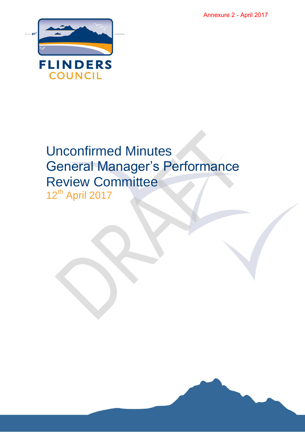Annexure 2 - April 2017



# Unconfirmed Minutes General Manager's Performance Review Committee 12<sup>th</sup> April 2017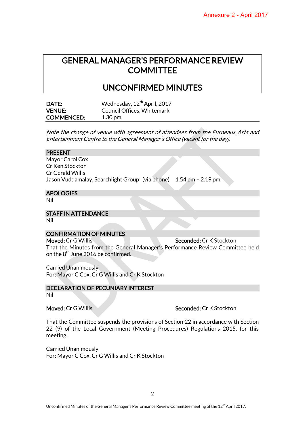# GENERAL MANAGER'S PERFORMANCE REVIEW **COMMITTEE**

## UNCONFIRMED MINUTES

| DATE:             | Wednesday, 12 <sup>th</sup> April, 2017 |
|-------------------|-----------------------------------------|
| <b>VENUE:</b>     | Council Offices, Whitemark              |
| <b>COMMENCED:</b> | $1.30 \,\mathrm{pm}$                    |

Note the change of venue with agreement of attendees from the Furneaux Arts and Entertainment Centre to the General Manager's Office (vacant for the day).

#### PRESENT

Mayor Carol Cox Cr Ken Stockton Cr Gerald Willis Jason Vuddamalay, Searchlight Group (via phone) 1.54 pm – 2.19 pm

#### **APOLOGIES**

Nil

### STAFF IN ATTENDANCE

Nil

#### CONFIRMATION OF MINUTES

Moved: Cr G Willis Seconded: Cr K Stockton That the Minutes from the General Manager's Performance Review Committee held on the  $8<sup>th</sup>$  June 2016 be confirmed.

Carried Unanimously For: Mayor C Cox, Cr G Willis and Cr K Stockton

### DECLARATION OF PECUNIARY INTEREST

Nil

#### Moved: Cr G Willis Seconded: Cr K Stockton

That the Committee suspends the provisions of Section 22 in accordance with Section 22 (9) of the Local Government (Meeting Procedures) Regulations 2015, for this meeting.

Carried Unanimously For: Mayor C Cox, Cr G Willis and Cr K Stockton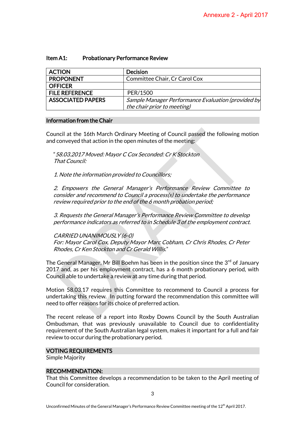### Item A1: Probationary Performance Review

| <b>ACTION</b>            | <b>Decision</b>                                    |
|--------------------------|----------------------------------------------------|
| <b>PROPONENT</b>         | Committee Chair, Cr Carol Cox                      |
| <b>OFFICER</b>           |                                                    |
| <b>FILE REFERENCE</b>    | PER/1500                                           |
| <b>ASSOCIATED PAPERS</b> | Sample Manager Performance Evaluation (provided by |
|                          | the chair prior to meeting)                        |

#### Information from the Chair

Council at the 16th March Ordinary Meeting of Council passed the following motion and conveyed that action in the open minutes of the meeting:

"58.03.2017 Moved: Mayor C Cox Seconded: Cr K Stockton That Council:

1. Note the information provided to Councillors;

2. Empowers the General Manager's Performance Review Committee to consider and recommend to Council a process(s) to undertake the performance review required prior to the end of the 6 month probation period;

3. Requests the General Manager's Performance Review Committee to develop performance indicators as referred to in Schedule 3 of the employment contract.

CARRIED UNANIMOUSLY (6-0)

For: Mayor Carol Cox, Deputy Mayor Marc Cobham, Cr Chris Rhodes, Cr Peter Rhodes, Cr Ken Stockton and Cr Gerald Willis."

The General Manager, Mr Bill Boehm has been in the position since the 3<sup>rd</sup> of January 2017 and, as per his employment contract, has a 6 month probationary period, with Council able to undertake a review at any time during that period.

Motion 58.03.17 requires this Committee to recommend to Council a process for undertaking this review. In putting forward the recommendation this committee will need to offer reasons for its choice of preferred action.

The recent release of a report into Roxby Downs Council by the South Australian Ombudsman, that was previously unavailable to Council due to confidentiality requirement of the South Australian legal system, makes it important for a full and fair review to occur during the probationary period.

#### VOTING REQUIREMENTS

Simple Majority

#### RECOMMENDATION:

That this Committee develops a recommendation to be taken to the April meeting of Council for consideration.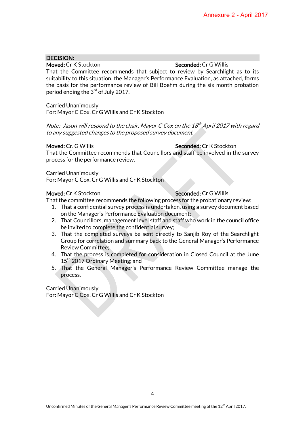### DECISION:

### Moved: Cr K Stockton Seconded: Cr G Willis

That the Committee recommends that subject to review by Searchlight as to its suitability to this situation, the Manager's Performance Evaluation, as attached, forms the basis for the performance review of Bill Boehm during the six month probation period ending the 3<sup>rd</sup> of July 2017.

Carried Unanimously For: Mayor C Cox, Cr G Willis and Cr K Stockton

Note: Jason will respond to the chair, Mayor C Cox on the 18<sup>th</sup> April 2017 with regard to any suggested changes to the proposed survey document.

#### Moved: Cr. G Willis Seconded: Cr K Stockton

That the Committee recommends that Councillors and staff be involved in the survey process for the performance review.

#### Carried Unanimously

For: Mayor C Cox, Cr G Willis and Cr K Stockton

#### Moved: Cr K Stockton Seconded: Cr G Willis

That the committee recommends the following process for the probationary review:

- 1. That a confidential survey process is undertaken, using a survey document based on the Manager's Performance Evaluation document;
- 2. That Councillors, management level staff and staff who work in the council office be invited to complete the confidential survey;
- 3. That the completed surveys be sent directly to Sanjib Roy of the Searchlight Group for correlation and summary back to the General Manager's Performance Review Committee;
- 4. That the process is completed for consideration in Closed Council at the June 15<sup>th</sup> 2017 Ordinary Meeting; and
- 5. That the General Manager's Performance Review Committee manage the process.

Carried Unanimously For: Mayor C Cox, Cr G Willis and Cr K Stockton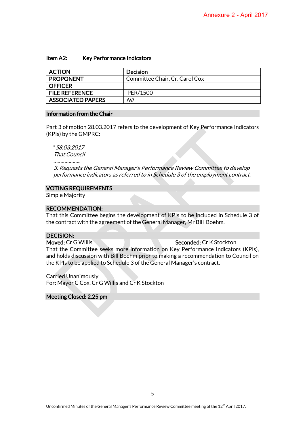#### Item A2: Key Performance Indicators

| <b>ACTION</b>         | Decision                       |
|-----------------------|--------------------------------|
| <b>PROPONENT</b>      | Committee Chair, Cr. Carol Cox |
| <b>OFFICER</b>        |                                |
| <b>FILE REFERENCE</b> | PER/1500                       |
| ASSOCIATED PAPERS     | Nil                            |

#### Information from the Chair

Part 3 of motion 28.03.2017 refers to the development of Key Performance Indicators (KPIs) by the GMPRC:

"58.03.2017

That Council

................

3. Requests the General Manager's Performance Review Committee to develop performance indicators as referred to in Schedule 3 of the employment contract.

#### VOTING REQUIREMENTS

Simple Majority

#### RECOMMENDATION:

That this Committee begins the development of KPIs to be included in Schedule 3 of the contract with the agreement of the General Manager, Mr Bill Boehm.

#### DECISION:

### Moved: Cr G Willis Seconded: Cr K Stockton

That the Committee seeks more information on Key Performance Indicators (KPIs), and holds discussion with Bill Boehm prior to making a recommendation to Council on the KPIs to be applied to Schedule 3 of the General Manager's contract.

Carried Unanimously For: Mayor C Cox, Cr G Willis and Cr K Stockton

#### Meeting Closed: 2.25 pm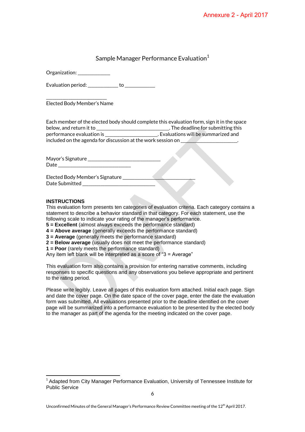### Sample Manager Performance Evaluation<sup>1</sup>

Organization: \_\_\_\_\_\_\_\_\_\_\_\_\_\_

Evaluation period: example to to a set of the set of the set of the set of the set of the set of the set of the set of the set of the set of the set of the set of the set of the set of the set of the set of the set of the

\_\_\_\_\_\_\_\_\_\_\_\_\_\_\_\_\_\_\_\_\_\_\_\_\_\_\_\_\_\_ Elected Body Member's Name

Each member of the elected body should complete this evaluation form, sign it in the space below, and return it to \_\_\_\_\_\_\_\_\_\_\_\_\_\_\_\_\_\_\_\_\_\_\_\_\_\_\_\_\_\_\_\_\_\_\_\_. The deadline for submitting this performance evaluation is \_\_\_\_\_\_\_\_\_\_\_\_\_\_\_\_\_\_\_\_\_\_\_\_\_\_\_\_\_\_\_. Evaluations will be summarized and included on the agenda for discussion at the work session on

Mayor's Signature \_\_\_\_\_\_\_\_\_\_\_\_\_\_\_\_\_\_\_\_\_\_\_\_\_\_\_\_\_\_\_\_\_\_\_\_ Date  $\Box$ 

Elected Body Member's Signature Date Submitted

#### **INSTRUCTIONS**

l

This evaluation form presents ten categories of evaluation criteria. Each category contains a statement to describe a behavior standard in that category. For each statement, use the following scale to indicate your rating of the manager's performance.

**5 = Excellent** (almost always exceeds the performance standard)

**4 = Above average** (generally exceeds the performance standard)

- **3 = Average** (generally meets the performance standard)
- **2 = Below average** (usually does not meet the performance standard)
- **1 = Poor** (rarely meets the performance standard)

Any item left blank will be interpreted as a score of "3 = Average"

This evaluation form also contains a provision for entering narrative comments, including responses to specific questions and any observations you believe appropriate and pertinent to the rating period.

Please write legibly. Leave all pages of this evaluation form attached. Initial each page. Sign and date the cover page. On the date space of the cover page, enter the date the evaluation form was submitted. All evaluations presented prior to the deadline identified on the cover page will be summarized into a performance evaluation to be presented by the elected body to the manager as part of the agenda for the meeting indicated on the cover page.

<sup>&</sup>lt;sup>1</sup> Adapted from City Manager Performance Evaluation, University of Tennessee Institute for Public Service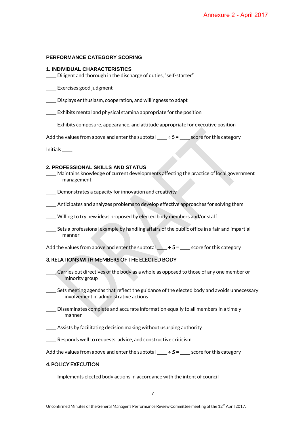#### **PERFORMANCE CATEGORY SCORING**

#### **1. INDIVIDUAL CHARACTERISTICS**

\_\_\_\_\_ Diligent and thorough in the discharge of duties, "self-starter"

\_\_\_\_\_ Exercises good judgment

\_\_\_\_\_ Displays enthusiasm, cooperation, and willingness to adapt

\_\_\_\_\_ Exhibits mental and physical stamina appropriate for the position

\_\_\_\_\_ Exhibits composure, appearance, and attitude appropriate for executive position

Add the values from above and enter the subtotal  $\frac{1}{1}$  ÷ 5 =  $\frac{1}{1}$  score for this category

Initials \_\_\_\_\_

#### **2. PROFESSIONAL SKILLS AND STATUS**

- \_\_\_\_\_ Maintains knowledge of current developments affecting the practice of local government management
- **\_\_\_\_** Demonstrates a capacity for innovation and creativity
- \_\_\_\_\_ Anticipates and analyzes problems to develop effective approaches for solving them
- \_\_\_\_\_ Willing to try new ideas proposed by elected body members and/or staff
- \_\_\_\_\_ Sets a professional example by handling affairs of the public office in a fair and impartial manner

Add the values from above and enter the subtotal  $\_\_\,\div$  5 =  $\_\_\_\$ score for this category

#### 3. RELATIONS WITH MEMBERS OF THE ELECTED BODY

- \_\_\_\_\_ Carries out directives of the body as a whole as opposed to those of any one member or minority group
- Sets meeting agendas that reflect the guidance of the elected body and avoids unnecessary involvement in administrative actions
- $\_\_$  Disseminates complete and accurate information equally to all members in a timely manner
- \_\_\_\_\_ Assists by facilitating decision making without usurping authority
- Responds well to requests, advice, and constructive criticism
- Add the values from above and enter the subtotal  $\_\_\_\pm \div 5 = \_\_\_\_\$  score for this category

#### 4. POLICY EXECUTION

\_\_\_\_\_ Implements elected body actions in accordance with the intent of council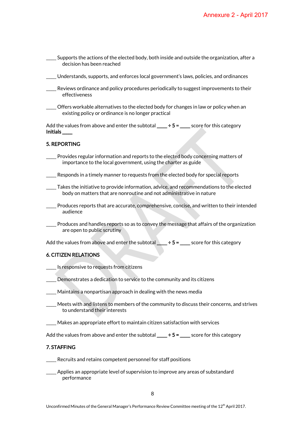| Supports the actions of the elected body, both inside and outside the organization, after a<br>decision has been reached                                        |
|-----------------------------------------------------------------------------------------------------------------------------------------------------------------|
| Understands, supports, and enforces local government's laws, policies, and ordinances                                                                           |
| Reviews ordinance and policy procedures periodically to suggest improvements to their<br>effectiveness                                                          |
| Offers workable alternatives to the elected body for changes in law or policy when an<br>existing policy or ordinance is no longer practical                    |
| Add the values from above and enter the subtotal ____ $\div$ 5 = ____ score for this category<br>Initials____                                                   |
| 5. REPORTING                                                                                                                                                    |
| Provides regular information and reports to the elected body concerning matters of<br>importance to the local government, using the charter as guide            |
| Responds in a timely manner to requests from the elected body for special reports                                                                               |
| Takes the initiative to provide information, advice, and recommendations to the elected<br>body on matters that are nonroutine and not administrative in nature |
| Produces reports that are accurate, comprehensive, concise, and written to their intended<br>audience                                                           |
| Produces and handles reports so as to convey the message that affairs of the organization<br>are open to public scrutiny                                        |
| Add the values from above and enter the subtotal $\_\_\,\div$ 5 = $\_\_\_\$ score for this category                                                             |
| <b>6. CITIZEN RELATIONS</b>                                                                                                                                     |
| Is responsive to requests from citizens                                                                                                                         |
| Demonstrates a dedication to service to the community and its citizens                                                                                          |
| Maintains a nonpartisan approach in dealing with the news media                                                                                                 |
| Meets with and listens to members of the community to discuss their concerns, and strives<br>to understand their interests                                      |
| Makes an appropriate effort to maintain citizen satisfaction with services                                                                                      |
| Add the values from above and enter the subtotal $\_\_\_ \div 5 = \_\_\_\$ score for this category                                                              |
| 7. STAFFING                                                                                                                                                     |
| Recruits and retains competent personnel for staff positions                                                                                                    |
| Applies an appropriate level of supervision to improve any areas of substandard<br>performance                                                                  |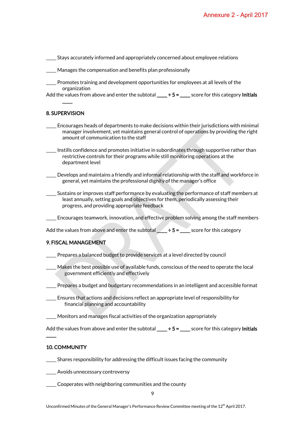\_\_\_\_\_ Stays accurately informed and appropriately concerned about employee relations

- \_\_\_\_\_ Manages the compensation and benefits plan professionally
- \_\_\_\_\_ Promotes training and development opportunities for employees at all levels of the organization
- Add the values from above and enter the subtotal  $\frac{+5}{-2}$  score for this category Initials  $\overline{\phantom{a}}$

#### 8. SUPERVISION

- \_\_\_\_\_ Encourages heads of departments to make decisions within their jurisdictions with minimal manager involvement, yet maintains general control of operations by providing the right amount of communication to the staff
- \_\_\_\_\_ Instills confidence and promotes initiative in subordinates through supportive rather than restrictive controls for their programs while still monitoring operations at the department level
- \_\_\_\_\_ Develops and maintains a friendly and informal relationship with the staff and workforce in general, yet maintains the professional dignity of the manager's office
- \_\_\_\_\_ Sustains or improves staff performance by evaluating the performance of staff members at least annually, setting goals and objectives for them, periodically assessing their progress, and providing appropriate feedback
- \_\_\_\_\_ Encourages teamwork, innovation, and effective problem solving among the staff members

Add the values from above and enter the subtotal  $\_\,\_\,\div$  5 =  $\_\,\_\,\$  score for this category

#### 9. FISCAL MANAGEMENT

- \_\_\_\_\_ Prepares a balanced budget to provide services at a level directed by council
- \_\_\_\_\_ Makes the best possible use of available funds, conscious of the need to operate the local government efficiently and effectively
- \_\_\_\_\_ Prepares a budget and budgetary recommendations in an intelligent and accessible format
- \_\_\_\_\_ Ensures that actions and decisions reflect an appropriate level of responsibility for financial planning and accountability
- \_\_\_\_\_ Monitors and manages fiscal activities of the organization appropriately
- Add the values from above and enter the subtotal  $\_\_\,\div$  5 =  $\_\_\_\$ score for this category Initials

#### 10. COMMUNITY

 $\overline{\phantom{a}}$ 

- \_\_\_\_\_ Shares responsibility for addressing the difficult issues facing the community
- \_\_\_\_\_ Avoids unnecessary controversy
- \_\_\_\_\_ Cooperates with neighboring communities and the county